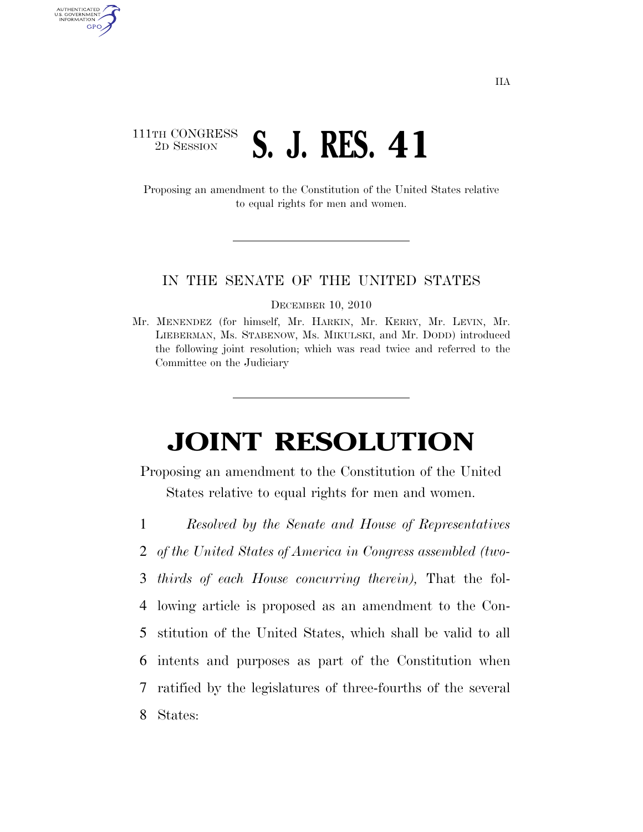## 111TH CONGRESS <sup>TH CONGRESS</sup> S. J. RES. 41

AUTHENTICATED<br>U.S. GOVERNMENT<br>INFORMATION GPO

> Proposing an amendment to the Constitution of the United States relative to equal rights for men and women.

#### IN THE SENATE OF THE UNITED STATES

DECEMBER 10, 2010

Mr. MENENDEZ (for himself, Mr. HARKIN, Mr. KERRY, Mr. LEVIN, Mr. LIEBERMAN, Ms. STABENOW, Ms. MIKULSKI, and Mr. DODD) introduced the following joint resolution; which was read twice and referred to the Committee on the Judiciary

# **JOINT RESOLUTION**

Proposing an amendment to the Constitution of the United States relative to equal rights for men and women.

- 1 *Resolved by the Senate and House of Representatives*
- 2 *of the United States of America in Congress assembled (two-*

3 *thirds of each House concurring therein),* That the fol-

- 4 lowing article is proposed as an amendment to the Con-5 stitution of the United States, which shall be valid to all 6 intents and purposes as part of the Constitution when 7 ratified by the legislatures of three-fourths of the several
- 8 States: